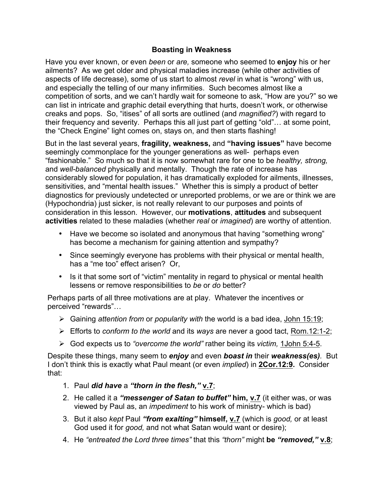## **Boasting in Weakness**

Have you ever known, or even *been* or *are,* someone who seemed to **enjoy** his or her ailments? As we get older and physical maladies increase (while other activities of aspects of life decrease), some of us start to almost *revel* in what is "wrong" with us, and especially the telling of our many infirmities. Such becomes almost like a competition of sorts, and we can't hardly wait for someone to ask, "How are you?" so we can list in intricate and graphic detail everything that hurts, doesn't work, or otherwise creaks and pops. So, "itises" of all sorts are outlined (and *magnified?*) with regard to their frequency and severity. Perhaps this all just part of getting "old"… at some point, the "Check Engine" light comes on, stays on, and then starts flashing!

But in the last several years, **fragility, weakness,** and **"having issues"** have become seemingly commonplace for the younger generations as well- perhaps even "fashionable." So much so that it is now somewhat rare for one to be *healthy, strong,*  and *well-balanced* physically and mentally. Though the rate of increase has considerably slowed for population, it has dramatically exploded for ailments, illnesses, sensitivities, and "mental health issues." Whether this is simply a product of better diagnostics for previously undetected or unreported problems, or we are or think we are (Hypochondria) just sicker, is not really relevant to our purposes and points of consideration in this lesson. However, our **motivations**, **attitudes** and subsequent **activities** related to these maladies (whether *real* or *imagined*) are worthy of attention.

- Have we become so isolated and anonymous that having "something wrong" has become a mechanism for gaining attention and sympathy?
- Since seemingly everyone has problems with their physical or mental health, has a "me too" effect arisen? Or,
- Is it that some sort of "victim" mentality in regard to physical or mental health lessens or remove responsibilities to *be* or *do* better?

Perhaps parts of all three motivations are at play. Whatever the incentives or perceived "rewards"…

- Ø Gaining *attention from* or *popularity with* the world is a bad idea, John 15:19;
- Ø Efforts to *conform to the world* and its *ways* are never a good tact, Rom.12:1-2;
- Ø God expects us to *"overcome the world"* rather being its *victim,* 1John 5:4-5.

Despite these things, many seem to *enjoy* and even *boast in* their *weakness(es).* But I don't think this is exactly what Paul meant (or even *implied*) in **2Cor.12:9.** Consider that:

- 1. Paul *did have* a *"thorn in the flesh,"* **v.7**;
- 2. He called it a *"messenger of Satan to buffet"* **him, v.7** (it either was, or was viewed by Paul as, an *impediment* to his work of ministry- which is bad)
- 3. But it also *kept* Paul *"from exalting"* **himself, v.7** (which is *good,* or at least God used it for *good,* and not what Satan would want or desire);
- 4. He *"entreated the Lord three times"* that this *"thorn"* might **be** *"removed,"* **v.8**;